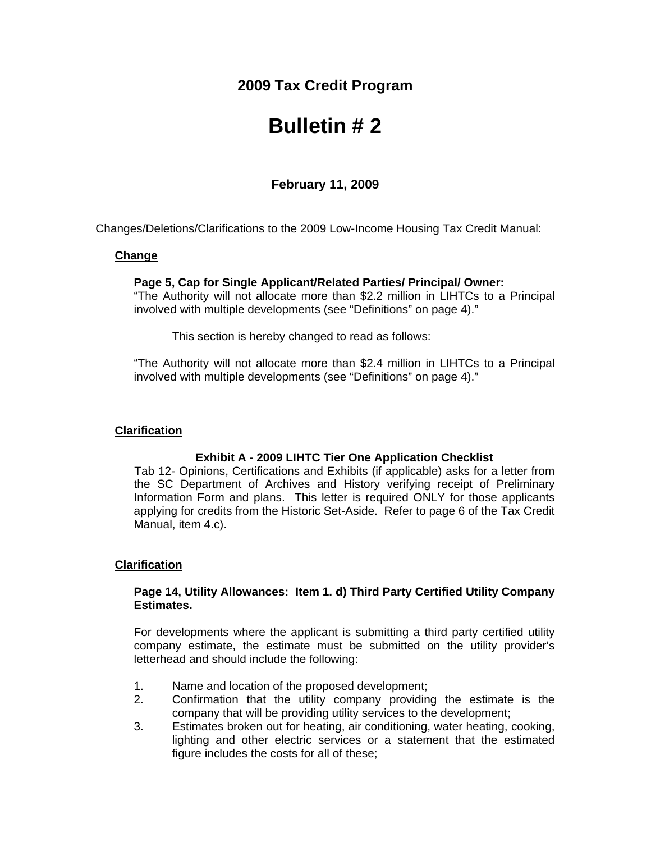## **2009 Tax Credit Program**

# **Bulletin # 2**

### **February 11, 2009**

Changes/Deletions/Clarifications to the 2009 Low-Income Housing Tax Credit Manual:

#### **Change**

#### **Page 5, Cap for Single Applicant/Related Parties/ Principal/ Owner:**

"The Authority will not allocate more than \$2.2 million in LIHTCs to a Principal involved with multiple developments (see "Definitions" on page 4)."

This section is hereby changed to read as follows:

"The Authority will not allocate more than \$2.4 million in LIHTCs to a Principal involved with multiple developments (see "Definitions" on page 4)."

#### **Clarification**

#### **Exhibit A - 2009 LIHTC Tier One Application Checklist**

 Tab 12- Opinions, Certifications and Exhibits (if applicable) asks for a letter from the SC Department of Archives and History verifying receipt of Preliminary Information Form and plans. This letter is required ONLY for those applicants applying for credits from the Historic Set-Aside. Refer to page 6 of the Tax Credit Manual, item 4.c).

#### **Clarification**

#### **Page 14, Utility Allowances: Item 1. d) Third Party Certified Utility Company Estimates.**

For developments where the applicant is submitting a third party certified utility company estimate, the estimate must be submitted on the utility provider's letterhead and should include the following:

- 1. Name and location of the proposed development;
- 2. Confirmation that the utility company providing the estimate is the company that will be providing utility services to the development;
- 3. Estimates broken out for heating, air conditioning, water heating, cooking, lighting and other electric services or a statement that the estimated figure includes the costs for all of these;